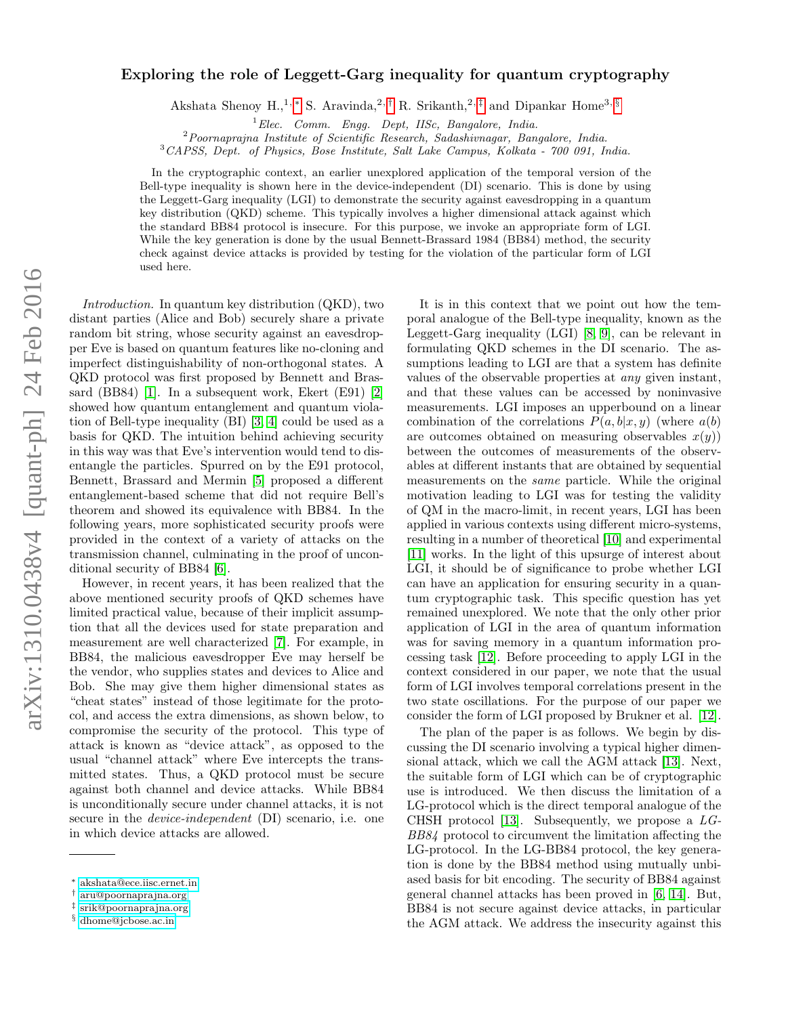# arXiv:1310.0438v4 [quant-ph] 24 Feb 2016 arXiv:1310.0438v4 [quant-ph] 24 Feb 2016

# Exploring the role of Leggett-Garg inequality for quantum cryptography

Akshata Shenoy H.,<sup>1,\*</sup> S. Aravinda,<sup>2,[†](#page-0-1)</sup> R. Srikanth,<sup>2,[‡](#page-0-2)</sup> and Dipankar Home<sup>3, [§](#page-0-3)</sup>

 ${}^{1}Elec.$  Comm. Engg. Dept, IISc, Bangalore, India.

<sup>2</sup>Poornaprajna Institute of Scientific Research, Sadashivnagar, Bangalore, India.

<sup>3</sup>CAPSS, Dept. of Physics, Bose Institute, Salt Lake Campus, Kolkata - 700 091, India.

In the cryptographic context, an earlier unexplored application of the temporal version of the Bell-type inequality is shown here in the device-independent (DI) scenario. This is done by using the Leggett-Garg inequality (LGI) to demonstrate the security against eavesdropping in a quantum key distribution (QKD) scheme. This typically involves a higher dimensional attack against which the standard BB84 protocol is insecure. For this purpose, we invoke an appropriate form of LGI. While the key generation is done by the usual Bennett-Brassard 1984 (BB84) method, the security check against device attacks is provided by testing for the violation of the particular form of LGI used here.

Introduction. In quantum key distribution (QKD), two distant parties (Alice and Bob) securely share a private random bit string, whose security against an eavesdropper Eve is based on quantum features like no-cloning and imperfect distinguishability of non-orthogonal states. A QKD protocol was first proposed by Bennett and Brassard (BB84) [\[1\]](#page-4-0). In a subsequent work, Ekert (E91) [\[2\]](#page-4-1) showed how quantum entanglement and quantum violation of Bell-type inequality (BI) [\[3,](#page-4-2) [4\]](#page-4-3) could be used as a basis for QKD. The intuition behind achieving security in this way was that Eve's intervention would tend to disentangle the particles. Spurred on by the E91 protocol, Bennett, Brassard and Mermin [\[5\]](#page-4-4) proposed a different entanglement-based scheme that did not require Bell's theorem and showed its equivalence with BB84. In the following years, more sophisticated security proofs were provided in the context of a variety of attacks on the transmission channel, culminating in the proof of unconditional security of BB84 [\[6\]](#page-4-5).

However, in recent years, it has been realized that the above mentioned security proofs of QKD schemes have limited practical value, because of their implicit assumption that all the devices used for state preparation and measurement are well characterized [\[7\]](#page-4-6). For example, in BB84, the malicious eavesdropper Eve may herself be the vendor, who supplies states and devices to Alice and Bob. She may give them higher dimensional states as "cheat states" instead of those legitimate for the protocol, and access the extra dimensions, as shown below, to compromise the security of the protocol. This type of attack is known as "device attack", as opposed to the usual "channel attack" where Eve intercepts the transmitted states. Thus, a QKD protocol must be secure against both channel and device attacks. While BB84 is unconditionally secure under channel attacks, it is not secure in the *device-independent* (DI) scenario, i.e. one in which device attacks are allowed.

It is in this context that we point out how the temporal analogue of the Bell-type inequality, known as the Leggett-Garg inequality (LGI) [\[8,](#page-4-7) [9\]](#page-4-8), can be relevant in formulating QKD schemes in the DI scenario. The assumptions leading to LGI are that a system has definite values of the observable properties at any given instant, and that these values can be accessed by noninvasive measurements. LGI imposes an upperbound on a linear combination of the correlations  $P(a, b|x, y)$  (where  $a(b)$ ) are outcomes obtained on measuring observables  $x(y)$ ) between the outcomes of measurements of the observables at different instants that are obtained by sequential measurements on the same particle. While the original motivation leading to LGI was for testing the validity of QM in the macro-limit, in recent years, LGI has been applied in various contexts using different micro-systems, resulting in a number of theoretical [\[10\]](#page-4-9) and experimental [\[11\]](#page-4-10) works. In the light of this upsurge of interest about LGI, it should be of significance to probe whether LGI can have an application for ensuring security in a quantum cryptographic task. This specific question has yet remained unexplored. We note that the only other prior application of LGI in the area of quantum information was for saving memory in a quantum information processing task [\[12\]](#page-4-11). Before proceeding to apply LGI in the context considered in our paper, we note that the usual form of LGI involves temporal correlations present in the two state oscillations. For the purpose of our paper we consider the form of LGI proposed by Brukner et al. [\[12\]](#page-4-11).

The plan of the paper is as follows. We begin by discussing the DI scenario involving a typical higher dimensional attack, which we call the AGM attack [\[13\]](#page-4-12). Next, the suitable form of LGI which can be of cryptographic use is introduced. We then discuss the limitation of a LG-protocol which is the direct temporal analogue of the CHSH protocol [\[13\]](#page-4-12). Subsequently, we propose a  $LG$ -BB84 protocol to circumvent the limitation affecting the LG-protocol. In the LG-BB84 protocol, the key generation is done by the BB84 method using mutually unbiased basis for bit encoding. The security of BB84 against general channel attacks has been proved in [\[6,](#page-4-5) [14\]](#page-4-13). But, BB84 is not secure against device attacks, in particular the AGM attack. We address the insecurity against this

<span id="page-0-0"></span><sup>∗</sup> [akshata@ece.iisc.ernet.in](mailto:akshata@ece.iisc.ernet.in)

<span id="page-0-1"></span><sup>†</sup> [aru@poornaprajna.org](mailto:aru@poornaprajna.org)

<span id="page-0-2"></span><sup>‡</sup> [srik@poornaprajna.org](mailto:srik@poornaprajna.org)

<span id="page-0-3"></span><sup>§</sup> [dhome@jcbose.ac.in](mailto:dhome@jcbose.ac.in)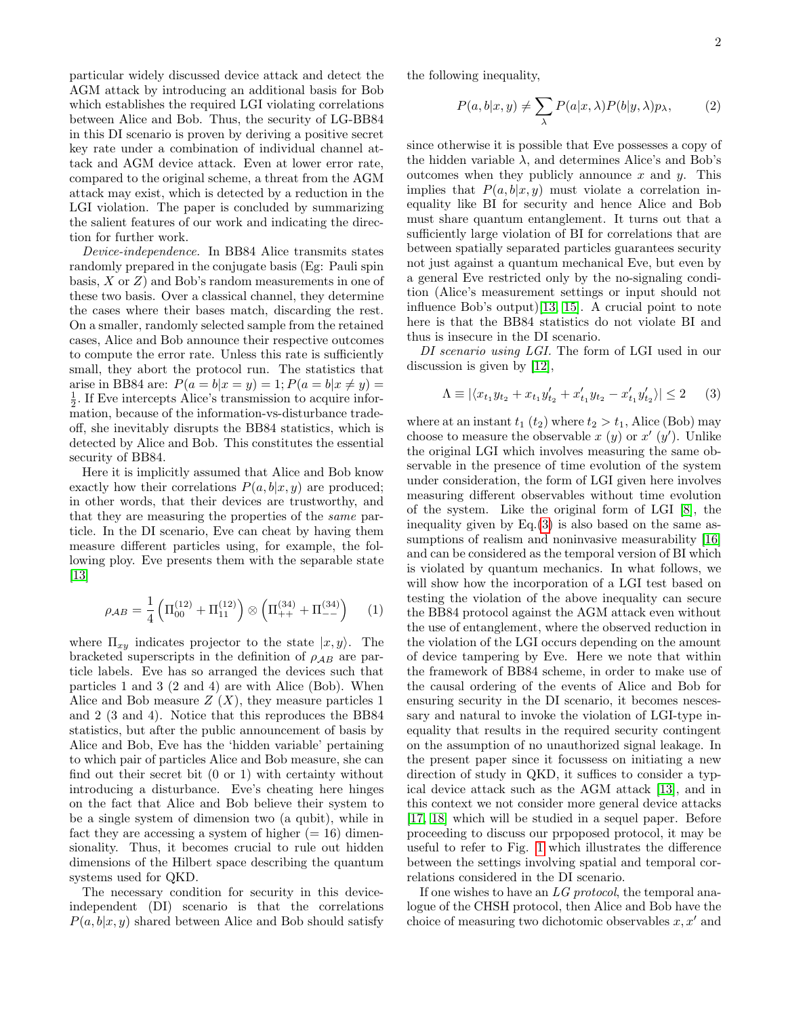particular widely discussed device attack and detect the AGM attack by introducing an additional basis for Bob which establishes the required LGI violating correlations between Alice and Bob. Thus, the security of LG-BB84 in this DI scenario is proven by deriving a positive secret key rate under a combination of individual channel attack and AGM device attack. Even at lower error rate, compared to the original scheme, a threat from the AGM attack may exist, which is detected by a reduction in the LGI violation. The paper is concluded by summarizing the salient features of our work and indicating the direction for further work.

Device-independence. In BB84 Alice transmits states randomly prepared in the conjugate basis (Eg: Pauli spin basis,  $X$  or  $Z$ ) and Bob's random measurements in one of these two basis. Over a classical channel, they determine the cases where their bases match, discarding the rest. On a smaller, randomly selected sample from the retained cases, Alice and Bob announce their respective outcomes to compute the error rate. Unless this rate is sufficiently small, they abort the protocol run. The statistics that arise in BB84 are:  $P(a = b|x = y) = 1; P(a = b|x \neq y) = 0$  $\frac{1}{2}$ . If Eve intercepts Alice's transmission to acquire information, because of the information-vs-disturbance tradeoff, she inevitably disrupts the BB84 statistics, which is detected by Alice and Bob. This constitutes the essential security of BB84.

Here it is implicitly assumed that Alice and Bob know exactly how their correlations  $P(a, b|x, y)$  are produced; in other words, that their devices are trustworthy, and that they are measuring the properties of the same particle. In the DI scenario, Eve can cheat by having them measure different particles using, for example, the following ploy. Eve presents them with the separable state [\[13\]](#page-4-12)

$$
\rho_{AB} = \frac{1}{4} \left( \Pi_{00}^{(12)} + \Pi_{11}^{(12)} \right) \otimes \left( \Pi_{++}^{(34)} + \Pi_{--}^{(34)} \right) \tag{1}
$$

where  $\Pi_{xy}$  indicates projector to the state  $|x, y\rangle$ . The bracketed superscripts in the definition of  $\rho_{AB}$  are particle labels. Eve has so arranged the devices such that particles 1 and 3 (2 and 4) are with Alice (Bob). When Alice and Bob measure  $Z(X)$ , they measure particles 1 and 2 (3 and 4). Notice that this reproduces the BB84 statistics, but after the public announcement of basis by Alice and Bob, Eve has the 'hidden variable' pertaining to which pair of particles Alice and Bob measure, she can find out their secret bit (0 or 1) with certainty without introducing a disturbance. Eve's cheating here hinges on the fact that Alice and Bob believe their system to be a single system of dimension two (a qubit), while in fact they are accessing a system of higher  $(= 16)$  dimensionality. Thus, it becomes crucial to rule out hidden dimensions of the Hilbert space describing the quantum systems used for QKD.

The necessary condition for security in this deviceindependent (DI) scenario is that the correlations  $P(a, b|x, y)$  shared between Alice and Bob should satisfy the following inequality,

$$
P(a,b|x,y) \neq \sum_{\lambda} P(a|x,\lambda)P(b|y,\lambda)p_{\lambda}, \qquad (2)
$$

since otherwise it is possible that Eve possesses a copy of the hidden variable  $\lambda$ , and determines Alice's and Bob's outcomes when they publicly announce  $x$  and  $y$ . This implies that  $P(a, b|x, y)$  must violate a correlation inequality like BI for security and hence Alice and Bob must share quantum entanglement. It turns out that a sufficiently large violation of BI for correlations that are between spatially separated particles guarantees security not just against a quantum mechanical Eve, but even by a general Eve restricted only by the no-signaling condition (Alice's measurement settings or input should not influence Bob's output)[\[13,](#page-4-12) [15\]](#page-4-14). A crucial point to note here is that the BB84 statistics do not violate BI and thus is insecure in the DI scenario.

DI scenario using LGI. The form of LGI used in our discussion is given by [\[12\]](#page-4-11),

<span id="page-1-0"></span>
$$
\Lambda \equiv |\langle x_{t_1} y_{t_2} + x_{t_1} y'_{t_2} + x'_{t_1} y_{t_2} - x'_{t_1} y'_{t_2}\rangle| \le 2 \qquad (3)
$$

where at an instant  $t_1$  ( $t_2$ ) where  $t_2 > t_1$ , Alice (Bob) may choose to measure the observable x (y) or  $x'(y')$ . Unlike the original LGI which involves measuring the same observable in the presence of time evolution of the system under consideration, the form of LGI given here involves measuring different observables without time evolution of the system. Like the original form of LGI [\[8\]](#page-4-7), the inequality given by Eq.[\(3\)](#page-1-0) is also based on the same as-sumptions of realism and noninvasive measurability [\[16\]](#page-4-15) and can be considered as the temporal version of BI which is violated by quantum mechanics. In what follows, we will show how the incorporation of a LGI test based on testing the violation of the above inequality can secure the BB84 protocol against the AGM attack even without the use of entanglement, where the observed reduction in the violation of the LGI occurs depending on the amount of device tampering by Eve. Here we note that within the framework of BB84 scheme, in order to make use of the causal ordering of the events of Alice and Bob for ensuring security in the DI scenario, it becomes nescessary and natural to invoke the violation of LGI-type inequality that results in the required security contingent on the assumption of no unauthorized signal leakage. In the present paper since it focussess on initiating a new direction of study in QKD, it suffices to consider a typical device attack such as the AGM attack [\[13\]](#page-4-12), and in this context we not consider more general device attacks [\[17,](#page-4-16) [18\]](#page-4-17) which will be studied in a sequel paper. Before proceeding to discuss our prpoposed protocol, it may be useful to refer to Fig. [1](#page-2-0) which illustrates the difference between the settings involving spatial and temporal correlations considered in the DI scenario.

If one wishes to have an LG protocol, the temporal analogue of the CHSH protocol, then Alice and Bob have the choice of measuring two dichotomic observables  $x, x'$  and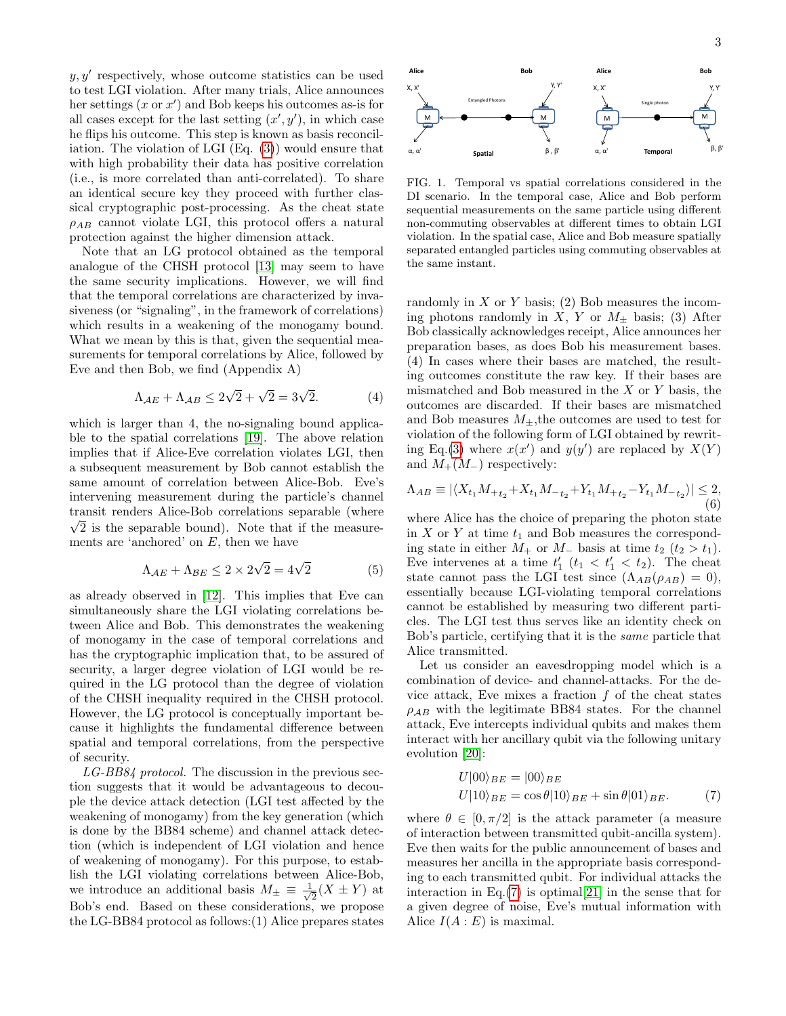$y, y'$  respectively, whose outcome statistics can be used to test LGI violation. After many trials, Alice announces her settings  $(x \text{ or } x')$  and Bob keeps his outcomes as-is for all cases except for the last setting  $(x', y')$ , in which case he flips his outcome. This step is known as basis reconciliation. The violation of LGI (Eq. [\(3\)](#page-1-0)) would ensure that with high probability their data has positive correlation (i.e., is more correlated than anti-correlated). To share an identical secure key they proceed with further classical cryptographic post-processing. As the cheat state  $\rho_{AB}$  cannot violate LGI, this protocol offers a natural protection against the higher dimension attack.

Note that an LG protocol obtained as the temporal analogue of the CHSH protocol [\[13\]](#page-4-12) may seem to have the same security implications. However, we will find that the temporal correlations are characterized by invasiveness (or "signaling", in the framework of correlations) which results in a weakening of the monogamy bound. What we mean by this is that, given the sequential measurements for temporal correlations by Alice, followed by Eve and then Bob, we find (Appendix A)

<span id="page-2-2"></span>
$$
\Lambda_{AE} + \Lambda_{AB} \le 2\sqrt{2} + \sqrt{2} = 3\sqrt{2}.\tag{4}
$$

which is larger than 4, the no-signaling bound applicable to the spatial correlations [\[19\]](#page-4-18). The above relation implies that if Alice-Eve correlation violates LGI, then a subsequent measurement by Bob cannot establish the same amount of correlation between Alice-Bob. Eve's intervening measurement during the particle's channel transit renders Alice-Bob correlations separable (where √  $\sqrt{2}$  is the separable bound). Note that if the measurements are 'anchored' on  $E$ , then we have

$$
\Lambda_{AE} + \Lambda_{BE} \le 2 \times 2\sqrt{2} = 4\sqrt{2}
$$
 (5)

as already observed in [\[12\]](#page-4-11). This implies that Eve can simultaneously share the LGI violating correlations between Alice and Bob. This demonstrates the weakening of monogamy in the case of temporal correlations and has the cryptographic implication that, to be assured of security, a larger degree violation of LGI would be required in the LG protocol than the degree of violation of the CHSH inequality required in the CHSH protocol. However, the LG protocol is conceptually important because it highlights the fundamental difference between spatial and temporal correlations, from the perspective of security.

LG-BB84 protocol. The discussion in the previous section suggests that it would be advantageous to decouple the device attack detection (LGI test affected by the weakening of monogamy) from the key generation (which is done by the BB84 scheme) and channel attack detection (which is independent of LGI violation and hence of weakening of monogamy). For this purpose, to establish the LGI violating correlations between Alice-Bob, we introduce an additional basis  $M_{\pm} \equiv \frac{1}{\sqrt{2}}$  $\frac{1}{2}(X \pm Y)$  at Bob's end. Based on these considerations, we propose the LG-BB84 protocol as follows:(1) Alice prepares states



<span id="page-2-0"></span>FIG. 1. Temporal vs spatial correlations considered in the DI scenario. In the temporal case, Alice and Bob perform sequential measurements on the same particle using different non-commuting observables at different times to obtain LGI violation. In the spatial case, Alice and Bob measure spatially separated entangled particles using commuting observables at the same instant.

randomly in  $X$  or  $Y$  basis; (2) Bob measures the incoming photons randomly in  $\overline{X}$ ,  $\overline{Y}$  or  $M_{\pm}$  basis; (3) After Bob classically acknowledges receipt, Alice announces her preparation bases, as does Bob his measurement bases. (4) In cases where their bases are matched, the resulting outcomes constitute the raw key. If their bases are mismatched and Bob measured in the  $X$  or  $Y$  basis, the outcomes are discarded. If their bases are mismatched and Bob measures  $M_{+}$ , the outcomes are used to test for violation of the following form of LGI obtained by rewrit-ing Eq.[\(3\)](#page-1-0) where  $x(x')$  and  $y(y')$  are replaced by  $X(Y)$ and  $M_+(M_-)$  respectively:

$$
\Lambda_{AB} \equiv |\langle X_{t_1} M_{+t_2} + X_{t_1} M_{-t_2} + Y_{t_1} M_{+t_2} - Y_{t_1} M_{-t_2}\rangle| \leq 2,
$$
\n(6)

where Alice has the choice of preparing the photon state in X or Y at time  $t_1$  and Bob measures the corresponding state in either  $M_+$  or  $M_-$  basis at time  $t_2$   $(t_2 > t_1)$ . Eve intervenes at a time  $t_1'$   $(t_1 < t_1' < t_2)$ . The cheat state cannot pass the LGI test since  $(\Lambda_{AB}(\rho_{AB}) = 0),$ essentially because LGI-violating temporal correlations cannot be established by measuring two different particles. The LGI test thus serves like an identity check on Bob's particle, certifying that it is the same particle that Alice transmitted.

Let us consider an eavesdropping model which is a combination of device- and channel-attacks. For the device attack, Eve mixes a fraction  $f$  of the cheat states  $\rho_{AB}$  with the legitimate BB84 states. For the channel attack, Eve intercepts individual qubits and makes them interact with her ancillary qubit via the following unitary evolution [\[20\]](#page-4-19):

<span id="page-2-1"></span>
$$
U|00\rangle_{BE} = |00\rangle_{BE}
$$
  

$$
U|10\rangle_{BE} = \cos\theta|10\rangle_{BE} + \sin\theta|01\rangle_{BE}.
$$
 (7)

where  $\theta \in [0, \pi/2]$  is the attack parameter (a measure of interaction between transmitted qubit-ancilla system). Eve then waits for the public announcement of bases and measures her ancilla in the appropriate basis corresponding to each transmitted qubit. For individual attacks the interaction in Eq. $(7)$  is optimal[\[21\]](#page-4-20) in the sense that for a given degree of noise, Eve's mutual information with Alice  $I(A: E)$  is maximal.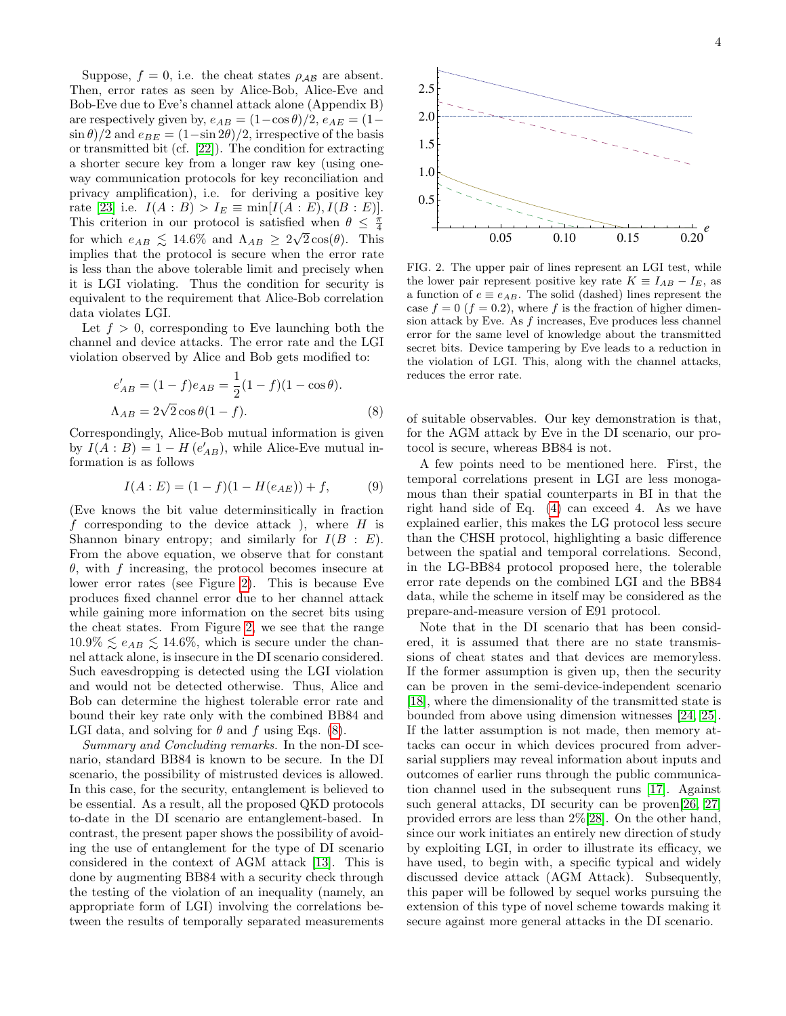Suppose,  $f = 0$ , i.e. the cheat states  $\rho_{AB}$  are absent. Then, error rates as seen by Alice-Bob, Alice-Eve and Bob-Eve due to Eve's channel attack alone (Appendix B) are respectively given by,  $e_{AB} = (1-\cos\theta)/2$ ,  $e_{AE} = (1-\cos\theta)/2$  $\sin \theta$ /2 and  $e_{BE} = (1 - \sin 2\theta)/2$ , irrespective of the basis or transmitted bit (cf. [\[22\]](#page-4-21)). The condition for extracting a shorter secure key from a longer raw key (using oneway communication protocols for key reconciliation and privacy amplification), i.e. for deriving a positive key rate [\[23\]](#page-4-22) i.e.  $I(A : B) > I_E \equiv \min[I(A : E), I(B : E)].$ This criterion in our protocol is satisfied when  $\theta \leq \frac{\pi}{4}$ for which  $e_{AB} \leq 14.6\%$  and  $\Lambda_{AB} \geq 2\sqrt{2}\cos(\theta)$ . This implies that the protocol is secure when the error rate is less than the above tolerable limit and precisely when it is LGI violating. Thus the condition for security is equivalent to the requirement that Alice-Bob correlation data violates LGI.

Let  $f > 0$ , corresponding to Eve launching both the channel and device attacks. The error rate and the LGI violation observed by Alice and Bob gets modified to:

<span id="page-3-1"></span>
$$
e'_{AB} = (1 - f)e_{AB} = \frac{1}{2}(1 - f)(1 - \cos\theta).
$$
  
\n
$$
\Lambda_{AB} = 2\sqrt{2}\cos\theta(1 - f).
$$
 (8)

Correspondingly, Alice-Bob mutual information is given by  $I(A:B) = 1 - H(e'_{AB})$ , while Alice-Eve mutual information is as follows

$$
I(A:E) = (1 - f)(1 - H(e_{AE})) + f,
$$
 (9)

(Eve knows the bit value determinsitically in fraction f corresponding to the device attack), where  $H$  is Shannon binary entropy; and similarly for  $I(B : E)$ . From the above equation, we observe that for constant θ, with f increasing, the protocol becomes insecure at lower error rates (see Figure [2\)](#page-3-0). This is because Eve produces fixed channel error due to her channel attack while gaining more information on the secret bits using the cheat states. From Figure [2,](#page-3-0) we see that the range  $10.9\% \leq e_{AB} \leq 14.6\%$ , which is secure under the channel attack alone, is insecure in the DI scenario considered. Such eavesdropping is detected using the LGI violation and would not be detected otherwise. Thus, Alice and Bob can determine the highest tolerable error rate and bound their key rate only with the combined BB84 and LGI data, and solving for  $\theta$  and f using Eqs. [\(8\)](#page-3-1).

Summary and Concluding remarks. In the non-DI scenario, standard BB84 is known to be secure. In the DI scenario, the possibility of mistrusted devices is allowed. In this case, for the security, entanglement is believed to be essential. As a result, all the proposed QKD protocols to-date in the DI scenario are entanglement-based. In contrast, the present paper shows the possibility of avoiding the use of entanglement for the type of DI scenario considered in the context of AGM attack [\[13\]](#page-4-12). This is done by augmenting BB84 with a security check through the testing of the violation of an inequality (namely, an appropriate form of LGI) involving the correlations between the results of temporally separated measurements



<span id="page-3-0"></span>FIG. 2. The upper pair of lines represent an LGI test, while the lower pair represent positive key rate  $K \equiv I_{AB} - I_E$ , as a function of  $e \equiv e_{AB}$ . The solid (dashed) lines represent the case  $f = 0$  ( $f = 0.2$ ), where f is the fraction of higher dimension attack by Eve. As f increases, Eve produces less channel error for the same level of knowledge about the transmitted secret bits. Device tampering by Eve leads to a reduction in the violation of LGI. This, along with the channel attacks, reduces the error rate.

of suitable observables. Our key demonstration is that, for the AGM attack by Eve in the DI scenario, our protocol is secure, whereas BB84 is not.

A few points need to be mentioned here. First, the temporal correlations present in LGI are less monogamous than their spatial counterparts in BI in that the right hand side of Eq. [\(4\)](#page-2-2) can exceed 4. As we have explained earlier, this makes the LG protocol less secure than the CHSH protocol, highlighting a basic difference between the spatial and temporal correlations. Second, in the LG-BB84 protocol proposed here, the tolerable error rate depends on the combined LGI and the BB84 data, while the scheme in itself may be considered as the prepare-and-measure version of E91 protocol.

Note that in the DI scenario that has been considered, it is assumed that there are no state transmissions of cheat states and that devices are memoryless. If the former assumption is given up, then the security can be proven in the semi-device-independent scenario [\[18\]](#page-4-17), where the dimensionality of the transmitted state is bounded from above using dimension witnesses [\[24,](#page-4-23) [25\]](#page-4-24). If the latter assumption is not made, then memory attacks can occur in which devices procured from adversarial suppliers may reveal information about inputs and outcomes of earlier runs through the public communication channel used in the subsequent runs [\[17\]](#page-4-16). Against such general attacks, DI security can be proven[\[26,](#page-4-25) [27\]](#page-4-26) provided errors are less than 2%[\[28\]](#page-4-27). On the other hand, since our work initiates an entirely new direction of study by exploiting LGI, in order to illustrate its efficacy, we have used, to begin with, a specific typical and widely discussed device attack (AGM Attack). Subsequently, this paper will be followed by sequel works pursuing the extension of this type of novel scheme towards making it secure against more general attacks in the DI scenario.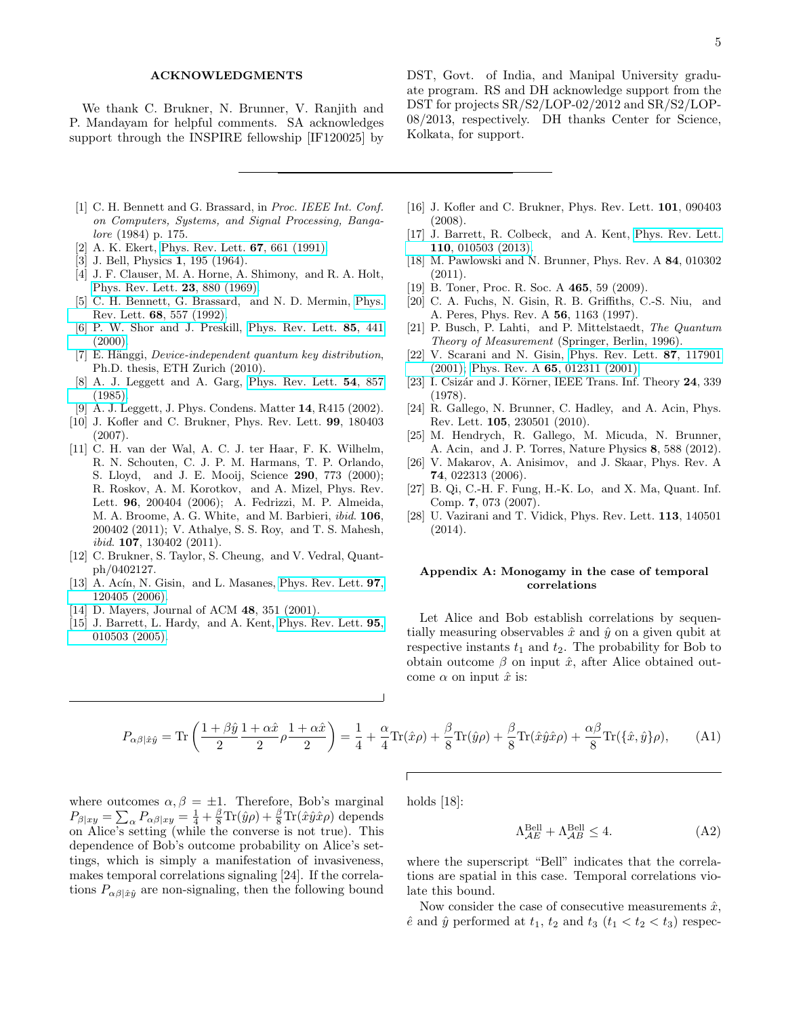### ACKNOWLEDGMENTS

We thank C. Brukner, N. Brunner, V. Ranjith and P. Mandayam for helpful comments. SA acknowledges support through the INSPIRE fellowship [IF120025] by

DST, Govt. of India, and Manipal University graduate program. RS and DH acknowledge support from the DST for projects SR/S2/LOP-02/2012 and SR/S2/LOP-08/2013, respectively. DH thanks Center for Science, Kolkata, for support.

- <span id="page-4-0"></span>[1] C. H. Bennett and G. Brassard, in Proc. IEEE Int. Conf. on Computers, Systems, and Signal Processing, Bangalore (1984) p. 175.
- <span id="page-4-1"></span>[2] A. K. Ekert, [Phys. Rev. Lett.](http://dx.doi.org/10.1103/PhysRevLett.67.661) **67**, 661 (1991).
- <span id="page-4-2"></span>[3] J. Bell, Physics **1**, 195 (1964).
- <span id="page-4-3"></span>[4] J. F. Clauser, M. A. Horne, A. Shimony, and R. A. Holt, [Phys. Rev. Lett.](http://dx.doi.org/10.1103/PhysRevLett.23.880) 23, 880 (1969).
- <span id="page-4-4"></span>[5] C. H. Bennett, G. Brassard, and N. D. Mermin, [Phys.](http://dx.doi.org/10.1103/PhysRevLett.68.557) Rev. Lett. 68[, 557 \(1992\).](http://dx.doi.org/10.1103/PhysRevLett.68.557)
- <span id="page-4-5"></span>[6] P. W. Shor and J. Preskill, [Phys. Rev. Lett.](http://dx.doi.org/10.1103/PhysRevLett.85.441) 85, 441  $(2000).$
- <span id="page-4-6"></span> $[7]$  E. Hänggi, *Device-independent quantum key distribution*, Ph.D. thesis, ETH Zurich (2010).
- <span id="page-4-7"></span>[8] A. J. Leggett and A. Garg, [Phys. Rev. Lett.](http://dx.doi.org/10.1103/PhysRevLett.54.857) 54, 857 [\(1985\).](http://dx.doi.org/10.1103/PhysRevLett.54.857)
- <span id="page-4-8"></span>[9] A. J. Leggett, J. Phys. Condens. Matter 14, R415 (2002).
- <span id="page-4-9"></span>[10] J. Kofler and C. Brukner, Phys. Rev. Lett. 99, 180403 (2007).
- <span id="page-4-10"></span>[11] C. H. van der Wal, A. C. J. ter Haar, F. K. Wilhelm, R. N. Schouten, C. J. P. M. Harmans, T. P. Orlando, S. Lloyd, and J. E. Mooij, Science 290, 773 (2000); R. Roskov, A. M. Korotkov, and A. Mizel, Phys. Rev. Lett. 96, 200404 (2006); A. Fedrizzi, M. P. Almeida, M. A. Broome, A. G. White, and M. Barbieri, ibid. 106, 200402 (2011); V. Athalye, S. S. Roy, and T. S. Mahesh, ibid. 107, 130402 (2011).
- <span id="page-4-11"></span>[12] C. Brukner, S. Taylor, S. Cheung, and V. Vedral, Quantph/0402127.
- <span id="page-4-12"></span>[13] A. Acín, N. Gisin, and L. Masanes, [Phys. Rev. Lett.](http://dx.doi.org/10.1103/PhysRevLett.97.120405)  $97$ , [120405 \(2006\).](http://dx.doi.org/10.1103/PhysRevLett.97.120405)
- <span id="page-4-13"></span>[14] D. Mayers, Journal of ACM **48**, 351 (2001).
- <span id="page-4-14"></span>[15] J. Barrett, L. Hardy, and A. Kent, [Phys. Rev. Lett.](http://dx.doi.org/10.1103/PhysRevLett.95.010503) 95, [010503 \(2005\).](http://dx.doi.org/10.1103/PhysRevLett.95.010503)
- <span id="page-4-15"></span>[16] J. Kofler and C. Brukner, Phys. Rev. Lett. **101**, 090403 (2008).
- <span id="page-4-16"></span>[17] J. Barrett, R. Colbeck, and A. Kent, [Phys. Rev. Lett.](http://dx.doi.org/10.1103/PhysRevLett.110.010503) 110[, 010503 \(2013\).](http://dx.doi.org/10.1103/PhysRevLett.110.010503)
- <span id="page-4-17"></span>[18] M. Pawlowski and N. Brunner, Phys. Rev. A 84, 010302 (2011).
- <span id="page-4-18"></span>[19] B. Toner, Proc. R. Soc. A **465**, 59 (2009).
- <span id="page-4-19"></span>[20] C. A. Fuchs, N. Gisin, R. B. Griffiths, C.-S. Niu, and A. Peres, Phys. Rev. A 56, 1163 (1997).
- <span id="page-4-20"></span>[21] P. Busch, P. Lahti, and P. Mittelstaedt, The Quantum Theory of Measurement (Springer, Berlin, 1996).
- <span id="page-4-21"></span>[22] V. Scarani and N. Gisin, [Phys. Rev. Lett.](http://dx.doi.org/10.1103/PhysRevLett.87.117901) 87, 117901 [\(2001\);](http://dx.doi.org/10.1103/PhysRevLett.87.117901) Phys. Rev. A 65[, 012311 \(2001\).](http://dx.doi.org/10.1103/PhysRevA.65.012311)
- <span id="page-4-22"></span>[23] I. Csizár and J. Körner, IEEE Trans. Inf. Theory 24, 339 (1978).
- <span id="page-4-23"></span>[24] R. Gallego, N. Brunner, C. Hadley, and A. Acin, Phys. Rev. Lett. 105, 230501 (2010).
- <span id="page-4-24"></span>[25] M. Hendrych, R. Gallego, M. Micuda, N. Brunner, A. Acin, and J. P. Torres, Nature Physics 8, 588 (2012).
- <span id="page-4-25"></span>[26] V. Makarov, A. Anisimov, and J. Skaar, Phys. Rev. A 74, 022313 (2006).
- <span id="page-4-26"></span>[27] B. Qi, C.-H. F. Fung, H.-K. Lo, and X. Ma, Quant. Inf. Comp. 7, 073 (2007).
- <span id="page-4-27"></span>[28] U. Vazirani and T. Vidick, Phys. Rev. Lett. 113, 140501 (2014).

# Appendix A: Monogamy in the case of temporal correlations

Let Alice and Bob establish correlations by sequentially measuring observables  $\hat{x}$  and  $\hat{y}$  on a given qubit at respective instants  $t_1$  and  $t_2$ . The probability for Bob to obtain outcome  $\beta$  on input  $\hat{x}$ , after Alice obtained outcome  $\alpha$  on input  $\hat{x}$  is:

$$
P_{\alpha\beta|\hat{x}\hat{y}} = \text{Tr}\left(\frac{1+\beta\hat{y}}{2}\frac{1+\alpha\hat{x}}{2}\rho\frac{1+\alpha\hat{x}}{2}\right) = \frac{1}{4} + \frac{\alpha}{4}\text{Tr}(\hat{x}\rho) + \frac{\beta}{8}\text{Tr}(\hat{y}\rho) + \frac{\beta}{8}\text{Tr}(\hat{x}\hat{y}\hat{x}\rho) + \frac{\alpha\beta}{8}\text{Tr}(\{\hat{x},\hat{y}\}\rho),\tag{A1}
$$

where outcomes  $\alpha, \beta = \pm 1$ . Therefore, Bob's marginal  $P_{\beta|xy} = \sum_{\alpha} P_{\alpha\beta|xy} = \frac{1}{4} + \frac{\beta}{8} \text{Tr}(\hat{y}\rho) + \frac{\beta}{8} \text{Tr}(\hat{x}\hat{y}\hat{x}\rho)$  depends on Alice's setting (while the converse is not true). This dependence of Bob's outcome probability on Alice's settings, which is simply a manifestation of invasiveness, makes temporal correlations signaling [24]. If the correlations  $P_{\alpha\beta|\hat{x}\hat{y}}$  are non-signaling, then the following bound holds [18]:

$$
\Lambda_{\mathcal{A}E}^{\text{Bell}} + \Lambda_{\mathcal{A}B}^{\text{Bell}} \le 4. \tag{A2}
$$

where the superscript "Bell" indicates that the correlations are spatial in this case. Temporal correlations violate this bound.

Now consider the case of consecutive measurements  $\hat{x}$ ,  $\hat{e}$  and  $\hat{y}$  performed at  $t_1$ ,  $t_2$  and  $t_3$   $(t_1 < t_2 < t_3)$  respec